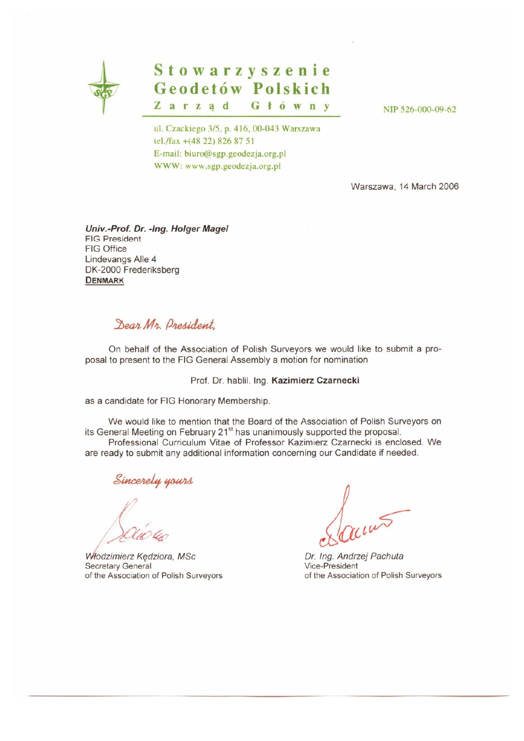

# Stowarzyszenie Geodetów Polskich Zarząd Główny

NIP 526-000-09-62

ul. Czackiego 3/5, p. 416, 00-043 Warszawa tel./fax +(48 22) 826 87 51 E-mail: biuro@sgp.geodezja.org.pl WWW: www.sgp.geodezja.org.pl

Warszawa, 14 March 2006

Univ.-Prof. Dr. -Ing. Holger Magel **FIG President** FIG Office Lindevangs Alle 4 DK-2000 Frederiksberg **DENMARK** 

## Dear Mr. Dresident

On behalf of the Association of Polish Surveyors we would like to submit a proposal to present to the FIG General Assembly a motion for nomination

#### Prof. Dr. hablil. Ing. Kazimierz Czarnecki

as a candidate for FIG Honorary Membership.

We would like to mention that the Board of the Association of Polish Surveyors on its General Meeting on February 21<sup>st</sup> has unanimously supported the proposal. Professional Curriculum Vitae of Professor Kazimierz Czarnecki is enclosed. We are ready to submit any additional information concerning our Candidate if needed.

Sincerely yours

Włodzimierz Kedziora, MSc Secretary General of the Association of Polish Surveyors

Dr. Ing. Andrzej Pachuta Vice-President of the Association of Polish Surveyors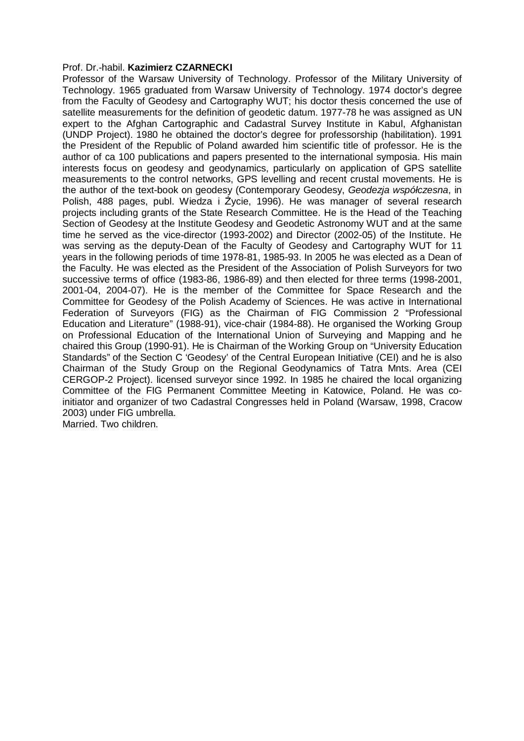#### Prof. Dr.-habil. **Kazimierz CZARNECKI**

Professor of the Warsaw University of Technology. Professor of the Military University of Technology. 1965 graduated from Warsaw University of Technology. 1974 doctor's degree from the Faculty of Geodesy and Cartography WUT; his doctor thesis concerned the use of satellite measurements for the definition of geodetic datum. 1977-78 he was assigned as UN expert to the Afghan Cartographic and Cadastral Survey Institute in Kabul, Afghanistan (UNDP Project). 1980 he obtained the doctor's degree for professorship (habilitation). 1991 the President of the Republic of Poland awarded him scientific title of professor. He is the author of ca 100 publications and papers presented to the international symposia. His main interests focus on geodesy and geodynamics, particularly on application of GPS satellite measurements to the control networks, GPS levelling and recent crustal movements. He is the author of the text-book on geodesy (Contemporary Geodesy, Geodezia współczesna, in Polish, 488 pages, publ. Wiedza i Życie, 1996). He was manager of several research projects including grants of the State Research Committee. He is the Head of the Teaching Section of Geodesy at the Institute Geodesy and Geodetic Astronomy WUT and at the same time he served as the vice-director (1993-2002) and Director (2002-05) of the Institute. He was serving as the deputy-Dean of the Faculty of Geodesy and Cartography WUT for 11 years in the following periods of time 1978-81, 1985-93. In 2005 he was elected as a Dean of the Faculty. He was elected as the President of the Association of Polish Surveyors for two successive terms of office (1983-86, 1986-89) and then elected for three terms (1998-2001, 2001-04, 2004-07). He is the member of the Committee for Space Research and the Committee for Geodesy of the Polish Academy of Sciences. He was active in International Federation of Surveyors (FIG) as the Chairman of FIG Commission 2 "Professional Education and Literature" (1988-91), vice-chair (1984-88). He organised the Working Group on Professional Education of the International Union of Surveying and Mapping and he chaired this Group (1990-91). He is Chairman of the Working Group on "University Education Standards" of the Section C 'Geodesy' of the Central European Initiative (CEI) and he is also Chairman of the Study Group on the Regional Geodynamics of Tatra Mnts. Area (CEI CERGOP-2 Project). licensed surveyor since 1992. In 1985 he chaired the local organizing Committee of the FIG Permanent Committee Meeting in Katowice, Poland. He was coinitiator and organizer of two Cadastral Congresses held in Poland (Warsaw, 1998, Cracow 2003) under FIG umbrella. Married. Two children.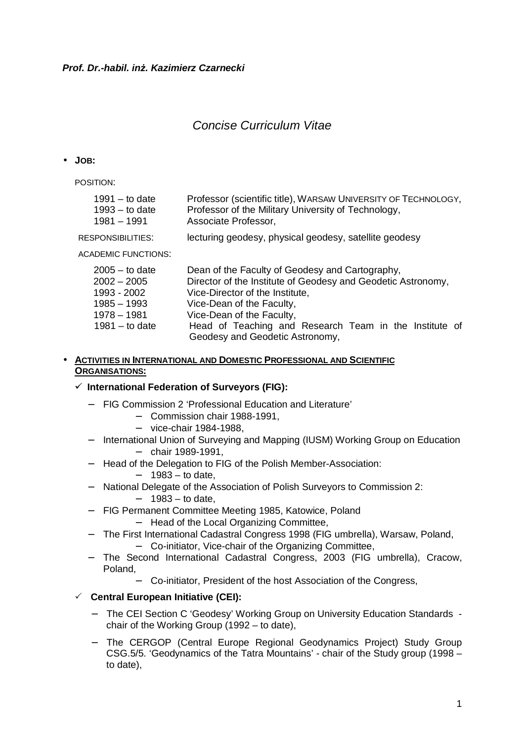## Concise Curriculum Vitae

#### • **JOB:**

POSITION:

| 1991 $-$ to date  | Professor (scientific title), WARSAW UNIVERSITY OF TECHNOLOGY, |
|-------------------|----------------------------------------------------------------|
| $1993 -$ to date  | Professor of the Military University of Technology,            |
| 1981 – 1991       | Associate Professor,                                           |
| RESPONSIBILITIES: | lecturing geodesy, physical geodesy, satellite geodesy         |

ACADEMIC FUNCTIONS:

| $2005 -$ to date | Dean of the Faculty of Geodesy and Cartography,              |  |  |  |
|------------------|--------------------------------------------------------------|--|--|--|
| $2002 - 2005$    | Director of the Institute of Geodesy and Geodetic Astronomy, |  |  |  |
| 1993 - 2002      | Vice-Director of the Institute,                              |  |  |  |
| 1985 - 1993      | Vice-Dean of the Faculty,                                    |  |  |  |
| 1978 - 1981      | Vice-Dean of the Faculty,                                    |  |  |  |
| $1981 -$ to date | Head of Teaching and Research Team in the Institute of       |  |  |  |
|                  | Geodesy and Geodetic Astronomy,                              |  |  |  |

#### • **ACTIVITIES IN INTERNATIONAL AND DOMESTIC PROFESSIONAL AND SCIENTIFIC ORGANISATIONS:**

#### **International Federation of Surveyors (FIG):**

- − FIG Commission 2 'Professional Education and Literature'
	- − Commission chair 1988-1991,
	- − vice-chair 1984-1988,
- − International Union of Surveying and Mapping (IUSM) Working Group on Education − chair 1989-1991,
- − Head of the Delegation to FIG of the Polish Member-Association:
	- − 1983 to date,
- − National Delegate of the Association of Polish Surveyors to Commission 2: − 1983 – to date,
- − FIG Permanent Committee Meeting 1985, Katowice, Poland
	- − Head of the Local Organizing Committee,
- − The First International Cadastral Congress 1998 (FIG umbrella), Warsaw, Poland,
	- − Co-initiator, Vice-chair of the Organizing Committee,
- − The Second International Cadastral Congress, 2003 (FIG umbrella), Cracow, Poland,
	- − Co-initiator, President of the host Association of the Congress,

#### **Central European Initiative (CEI):**

- − The CEI Section C 'Geodesy' Working Group on University Education Standards chair of the Working Group (1992 – to date),
- − The CERGOP (Central Europe Regional Geodynamics Project) Study Group CSG.5/5. 'Geodynamics of the Tatra Mountains' - chair of the Study group (1998 – to date),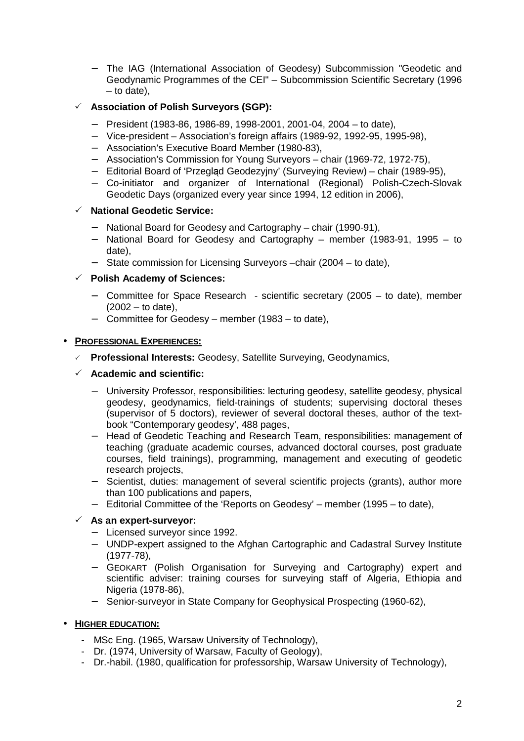− The IAG (International Association of Geodesy) Subcommission "Geodetic and Geodynamic Programmes of the CEI" – Subcommission Scientific Secretary (1996 – to date),

### **Association of Polish Surveyors (SGP):**

- − President (1983-86, 1986-89, 1998-2001, 2001-04, 2004 to date),
- − Vice-president Association's foreign affairs (1989-92, 1992-95, 1995-98),
- − Association's Executive Board Member (1980-83),
- − Association's Commission for Young Surveyors chair (1969-72, 1972-75),
- <sup>−</sup> Editorial Board of 'Przegląd Geodezyjny' (Surveying Review) chair (1989-95),
- − Co-initiator and organizer of International (Regional) Polish-Czech-Slovak Geodetic Days (organized every year since 1994, 12 edition in 2006),

### **National Geodetic Service:**

- − National Board for Geodesy and Cartography chair (1990-91),
- − National Board for Geodesy and Cartography member (1983-91, 1995 to date),
- − State commission for Licensing Surveyors –chair (2004 to date),

#### **Polish Academy of Sciences:**

- − Committee for Space Research scientific secretary (2005 to date), member  $(2002 -$  to date),
- − Committee for Geodesy member (1983 to date),

#### • **PROFESSIONAL EXPERIENCES:**

**Professional Interests:** Geodesy, Satellite Surveying, Geodynamics,

### **Academic and scientific:**

- − University Professor, responsibilities: lecturing geodesy, satellite geodesy, physical geodesy, geodynamics, field-trainings of students; supervising doctoral theses (supervisor of 5 doctors), reviewer of several doctoral theses, author of the textbook "Contemporary geodesy', 488 pages,
- − Head of Geodetic Teaching and Research Team, responsibilities: management of teaching (graduate academic courses, advanced doctoral courses, post graduate courses, field trainings), programming, management and executing of geodetic research projects,
- − Scientist, duties: management of several scientific projects (grants), author more than 100 publications and papers,
- − Editorial Committee of the 'Reports on Geodesy' member (1995 to date),

#### **As an expert-surveyor:**

- − Licensed surveyor since 1992.
- − UNDP-expert assigned to the Afghan Cartographic and Cadastral Survey Institute (1977-78),
- − GEOKART (Polish Organisation for Surveying and Cartography) expert and scientific adviser: training courses for surveying staff of Algeria, Ethiopia and Nigeria (1978-86),
- − Senior-surveyor in State Company for Geophysical Prospecting (1960-62),

#### • **HIGHER EDUCATION:**

- MSc Eng. (1965, Warsaw University of Technology),
- Dr. (1974, University of Warsaw, Faculty of Geology),
- Dr.-habil. (1980, qualification for professorship, Warsaw University of Technology),